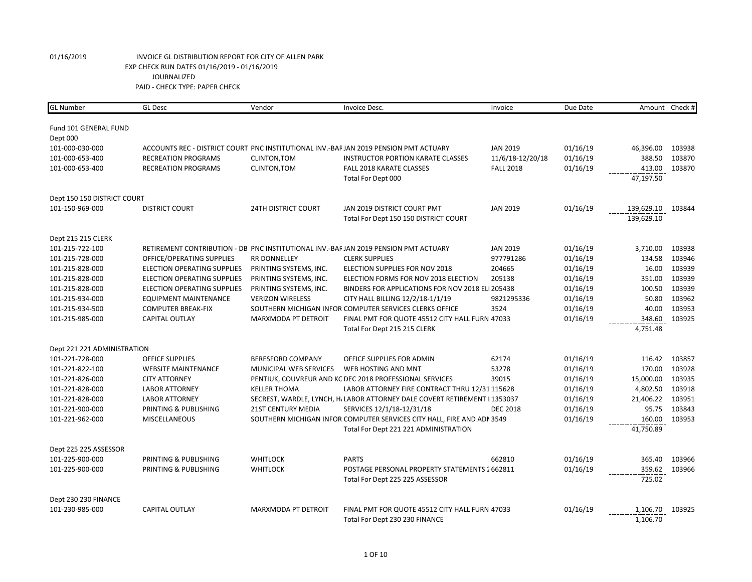| <b>GL</b> Number            | <b>GL</b> Desc                     | Vendor                     | Invoice Desc.                                                                        | Invoice          | Due Date |            | Amount Check # |
|-----------------------------|------------------------------------|----------------------------|--------------------------------------------------------------------------------------|------------------|----------|------------|----------------|
|                             |                                    |                            |                                                                                      |                  |          |            |                |
| Fund 101 GENERAL FUND       |                                    |                            |                                                                                      |                  |          |            |                |
| Dept 000                    |                                    |                            |                                                                                      |                  |          |            |                |
| 101-000-030-000             |                                    |                            | ACCOUNTS REC - DISTRICT COURT PNC INSTITUTIONAL INV.-BAFJAN 2019 PENSION PMT ACTUARY | <b>JAN 2019</b>  | 01/16/19 | 46,396.00  | 103938         |
| 101-000-653-400             | <b>RECREATION PROGRAMS</b>         | CLINTON, TOM               | INSTRUCTOR PORTION KARATE CLASSES                                                    | 11/6/18-12/20/18 | 01/16/19 | 388.50     | 103870         |
| 101-000-653-400             | <b>RECREATION PROGRAMS</b>         | CLINTON, TOM               | FALL 2018 KARATE CLASSES                                                             | <b>FALL 2018</b> | 01/16/19 | 413.00     | 103870         |
|                             |                                    |                            | Total For Dept 000                                                                   |                  |          | 47,197.50  |                |
| Dept 150 150 DISTRICT COURT |                                    |                            |                                                                                      |                  |          |            |                |
| 101-150-969-000             | <b>DISTRICT COURT</b>              | <b>24TH DISTRICT COURT</b> | JAN 2019 DISTRICT COURT PMT                                                          | <b>JAN 2019</b>  | 01/16/19 | 139,629.10 | 103844         |
|                             |                                    |                            | Total For Dept 150 150 DISTRICT COURT                                                |                  |          | 139,629.10 |                |
| Dept 215 215 CLERK          |                                    |                            |                                                                                      |                  |          |            |                |
| 101-215-722-100             |                                    |                            | RETIREMENT CONTRIBUTION - DB PNC INSTITUTIONAL INV.-BAFJAN 2019 PENSION PMT ACTUARY  | <b>JAN 2019</b>  | 01/16/19 | 3,710.00   | 103938         |
| 101-215-728-000             | OFFICE/OPERATING SUPPLIES          | RR DONNELLEY               | <b>CLERK SUPPLIES</b>                                                                | 977791286        | 01/16/19 | 134.58     | 103946         |
| 101-215-828-000             | <b>ELECTION OPERATING SUPPLIES</b> | PRINTING SYSTEMS, INC.     | ELECTION SUPPLIES FOR NOV 2018                                                       | 204665           | 01/16/19 | 16.00      | 103939         |
| 101-215-828-000             | <b>ELECTION OPERATING SUPPLIES</b> | PRINTING SYSTEMS, INC.     | ELECTION FORMS FOR NOV 2018 ELECTION                                                 | 205138           | 01/16/19 | 351.00     | 103939         |
| 101-215-828-000             | <b>ELECTION OPERATING SUPPLIES</b> | PRINTING SYSTEMS, INC.     | BINDERS FOR APPLICATIONS FOR NOV 2018 ELI 205438                                     |                  | 01/16/19 | 100.50     | 103939         |
| 101-215-934-000             | <b>EQUIPMENT MAINTENANCE</b>       | <b>VERIZON WIRELESS</b>    | CITY HALL BILLING 12/2/18-1/1/19                                                     | 9821295336       | 01/16/19 | 50.80      | 103962         |
| 101-215-934-500             | <b>COMPUTER BREAK-FIX</b>          |                            | SOUTHERN MICHIGAN INFOR COMPUTER SERVICES CLERKS OFFICE                              | 3524             | 01/16/19 | 40.00      | 103953         |
| 101-215-985-000             | <b>CAPITAL OUTLAY</b>              | MARXMODA PT DETROIT        | FINAL PMT FOR QUOTE 45512 CITY HALL FURN 47033                                       |                  | 01/16/19 | 348.60     | 103925         |
|                             |                                    |                            | Total For Dept 215 215 CLERK                                                         |                  |          | 4,751.48   |                |
| Dept 221 221 ADMINISTRATION |                                    |                            |                                                                                      |                  |          |            |                |
| 101-221-728-000             | <b>OFFICE SUPPLIES</b>             | <b>BERESFORD COMPANY</b>   | OFFICE SUPPLIES FOR ADMIN                                                            | 62174            | 01/16/19 | 116.42     | 103857         |
| 101-221-822-100             | <b>WEBSITE MAINTENANCE</b>         | MUNICIPAL WEB SERVICES     | WEB HOSTING AND MNT                                                                  | 53278            | 01/16/19 | 170.00     | 103928         |
| 101-221-826-000             | <b>CITY ATTORNEY</b>               |                            | PENTIUK, COUVREUR AND KC DEC 2018 PROFESSIONAL SERVICES                              | 39015            | 01/16/19 | 15,000.00  | 103935         |
| 101-221-828-000             | <b>LABOR ATTORNEY</b>              | <b>KELLER THOMA</b>        | LABOR ATTORNEY FIRE CONTRACT THRU 12/31 115628                                       |                  | 01/16/19 | 4,802.50   | 103918         |
| 101-221-828-000             | <b>LABOR ATTORNEY</b>              |                            | SECREST, WARDLE, LYNCH, H. LABOR ATTORNEY DALE COVERT RETIREMENT I 1353037           |                  | 01/16/19 | 21,406.22  | 103951         |
| 101-221-900-000             | PRINTING & PUBLISHING              | <b>21ST CENTURY MEDIA</b>  | SERVICES 12/1/18-12/31/18                                                            | <b>DEC 2018</b>  | 01/16/19 | 95.75      | 103843         |
| 101-221-962-000             | <b>MISCELLANEOUS</b>               |                            | SOUTHERN MICHIGAN INFOR COMPUTER SERVICES CITY HALL, FIRE AND ADN 3549               |                  | 01/16/19 | 160.00     | 103953         |
|                             |                                    |                            | Total For Dept 221 221 ADMINISTRATION                                                |                  |          | 41,750.89  |                |
| Dept 225 225 ASSESSOR       |                                    |                            |                                                                                      |                  |          |            |                |
| 101-225-900-000             | PRINTING & PUBLISHING              | <b>WHITLOCK</b>            | <b>PARTS</b>                                                                         | 662810           | 01/16/19 | 365.40     | 103966         |
| 101-225-900-000             | PRINTING & PUBLISHING              | <b>WHITLOCK</b>            | POSTAGE PERSONAL PROPERTY STATEMENTS 2662811                                         |                  | 01/16/19 | 359.62     | 103966         |
|                             |                                    |                            | Total For Dept 225 225 ASSESSOR                                                      |                  |          | 725.02     |                |
| Dept 230 230 FINANCE        |                                    |                            |                                                                                      |                  |          |            |                |
| 101-230-985-000             | <b>CAPITAL OUTLAY</b>              | <b>MARXMODA PT DETROIT</b> | FINAL PMT FOR QUOTE 45512 CITY HALL FURN 47033                                       |                  | 01/16/19 | 1,106.70   | 103925         |
|                             |                                    |                            | Total For Dept 230 230 FINANCE                                                       |                  |          | 1,106.70   |                |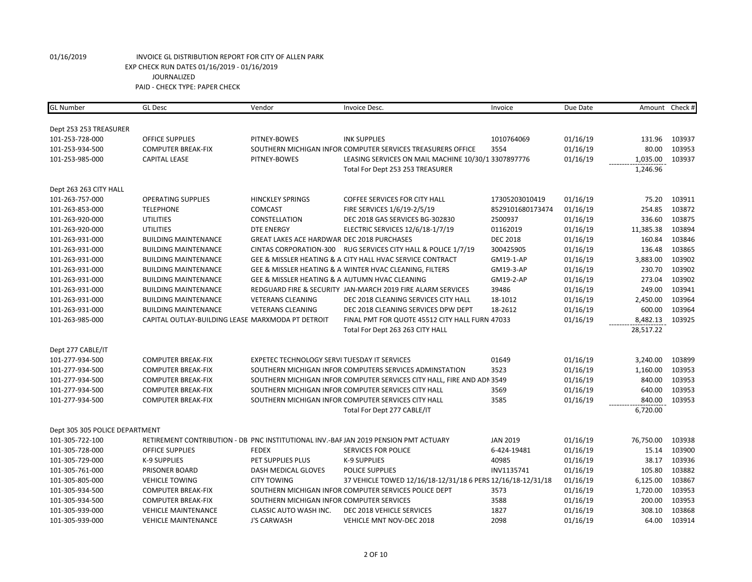| <b>GL Number</b>               | <b>GL Desc</b>                                    | Vendor                                         | Invoice Desc.                                                                        | Invoice          | Due Date |           | Amount Check # |
|--------------------------------|---------------------------------------------------|------------------------------------------------|--------------------------------------------------------------------------------------|------------------|----------|-----------|----------------|
|                                |                                                   |                                                |                                                                                      |                  |          |           |                |
| Dept 253 253 TREASURER         |                                                   |                                                |                                                                                      |                  |          |           |                |
| 101-253-728-000                | <b>OFFICE SUPPLIES</b>                            | PITNEY-BOWES                                   | <b>INK SUPPLIES</b>                                                                  | 1010764069       | 01/16/19 | 131.96    | 103937         |
| 101-253-934-500                | <b>COMPUTER BREAK-FIX</b>                         |                                                | SOUTHERN MICHIGAN INFOR COMPUTER SERVICES TREASURERS OFFICE                          | 3554             | 01/16/19 | 80.00     | 103953         |
| 101-253-985-000                | <b>CAPITAL LEASE</b>                              | PITNEY-BOWES                                   | LEASING SERVICES ON MAIL MACHINE 10/30/1 3307897776                                  |                  | 01/16/19 | 1,035.00  | 103937         |
|                                |                                                   |                                                | Total For Dept 253 253 TREASURER                                                     |                  |          | 1,246.96  |                |
| Dept 263 263 CITY HALL         |                                                   |                                                |                                                                                      |                  |          |           |                |
| 101-263-757-000                | <b>OPERATING SUPPLIES</b>                         | <b>HINCKLEY SPRINGS</b>                        | <b>COFFEE SERVICES FOR CITY HALL</b>                                                 | 17305203010419   | 01/16/19 | 75.20     | 103911         |
| 101-263-853-000                | <b>TELEPHONE</b>                                  | <b>COMCAST</b>                                 | FIRE SERVICES 1/6/19-2/5/19                                                          | 8529101680173474 | 01/16/19 | 254.85    | 103872         |
| 101-263-920-000                | <b>UTILITIES</b>                                  | CONSTELLATION                                  | DEC 2018 GAS SERVICES BG-302830                                                      | 2500937          | 01/16/19 | 336.60    | 103875         |
| 101-263-920-000                | <b>UTILITIES</b>                                  | <b>DTE ENERGY</b>                              | ELECTRIC SERVICES 12/6/18-1/7/19                                                     | 01162019         | 01/16/19 | 11,385.38 | 103894         |
| 101-263-931-000                | <b>BUILDING MAINTENANCE</b>                       | GREAT LAKES ACE HARDWAR DEC 2018 PURCHASES     |                                                                                      | <b>DEC 2018</b>  | 01/16/19 | 160.84    | 103846         |
| 101-263-931-000                | <b>BUILDING MAINTENANCE</b>                       |                                                | CINTAS CORPORATION-300 RUG SERVICES CITY HALL & POLICE 1/7/19                        | 300425905        | 01/16/19 | 136.48    | 103865         |
| 101-263-931-000                | <b>BUILDING MAINTENANCE</b>                       |                                                | GEE & MISSLER HEATING & A CITY HALL HVAC SERVICE CONTRACT                            | GM19-1-AP        | 01/16/19 | 3,883.00  | 103902         |
| 101-263-931-000                | <b>BUILDING MAINTENANCE</b>                       |                                                | GEE & MISSLER HEATING & A WINTER HVAC CLEANING, FILTERS                              | GM19-3-AP        | 01/16/19 | 230.70    | 103902         |
| 101-263-931-000                | <b>BUILDING MAINTENANCE</b>                       | GEE & MISSLER HEATING & A AUTUMN HVAC CLEANING |                                                                                      | GM19-2-AP        | 01/16/19 | 273.04    | 103902         |
| 101-263-931-000                | <b>BUILDING MAINTENANCE</b>                       |                                                | REDGUARD FIRE & SECURITY JAN-MARCH 2019 FIRE ALARM SERVICES                          | 39486            | 01/16/19 | 249.00    | 103941         |
| 101-263-931-000                | <b>BUILDING MAINTENANCE</b>                       | <b>VETERANS CLEANING</b>                       | DEC 2018 CLEANING SERVICES CITY HALL                                                 | 18-1012          | 01/16/19 | 2,450.00  | 103964         |
| 101-263-931-000                | <b>BUILDING MAINTENANCE</b>                       | <b>VETERANS CLEANING</b>                       | DEC 2018 CLEANING SERVICES DPW DEPT                                                  | 18-2612          | 01/16/19 | 600.00    | 103964         |
| 101-263-985-000                | CAPITAL OUTLAY-BUILDING LEASE MARXMODA PT DETROIT |                                                | FINAL PMT FOR QUOTE 45512 CITY HALL FURN 47033                                       |                  | 01/16/19 | 8,482.13  | 103925         |
|                                |                                                   |                                                | Total For Dept 263 263 CITY HALL                                                     |                  |          | 28,517.22 |                |
| Dept 277 CABLE/IT              |                                                   |                                                |                                                                                      |                  |          |           |                |
| 101-277-934-500                | <b>COMPUTER BREAK-FIX</b>                         | EXPETEC TECHNOLOGY SERVI TUESDAY IT SERVICES   |                                                                                      | 01649            | 01/16/19 | 3,240.00  | 103899         |
| 101-277-934-500                | <b>COMPUTER BREAK-FIX</b>                         |                                                | SOUTHERN MICHIGAN INFOR COMPUTERS SERVICES ADMINSTATION                              | 3523             | 01/16/19 | 1,160.00  | 103953         |
| 101-277-934-500                | <b>COMPUTER BREAK-FIX</b>                         |                                                | SOUTHERN MICHIGAN INFOR COMPUTER SERVICES CITY HALL, FIRE AND ADN 3549               |                  | 01/16/19 | 840.00    | 103953         |
| 101-277-934-500                | <b>COMPUTER BREAK-FIX</b>                         |                                                | SOUTHERN MICHIGAN INFOR COMPUTER SERVICES CITY HALL                                  | 3569             | 01/16/19 | 640.00    | 103953         |
| 101-277-934-500                | <b>COMPUTER BREAK-FIX</b>                         |                                                | SOUTHERN MICHIGAN INFOR COMPUTER SERVICES CITY HALL                                  | 3585             | 01/16/19 | 840.00    | 103953         |
|                                |                                                   |                                                | Total For Dept 277 CABLE/IT                                                          |                  |          | 6,720.00  |                |
|                                |                                                   |                                                |                                                                                      |                  |          |           |                |
| Dept 305 305 POLICE DEPARTMENT |                                                   |                                                |                                                                                      |                  |          |           |                |
| 101-305-722-100                |                                                   |                                                | RETIREMENT CONTRIBUTION - DB PNC INSTITUTIONAL INV.-BAF JAN 2019 PENSION PMT ACTUARY | <b>JAN 2019</b>  | 01/16/19 | 76,750.00 | 103938         |
| 101-305-728-000                | <b>OFFICE SUPPLIES</b>                            | <b>FEDEX</b>                                   | <b>SERVICES FOR POLICE</b>                                                           | 6-424-19481      | 01/16/19 | 15.14     | 103900         |
| 101-305-729-000                | K-9 SUPPLIES                                      | PET SUPPLIES PLUS                              | K-9 SUPPLIES                                                                         | 40985            | 01/16/19 | 38.17     | 103936         |
| 101-305-761-000                | <b>PRISONER BOARD</b>                             | DASH MEDICAL GLOVES                            | <b>POLICE SUPPLIES</b>                                                               | INV1135741       | 01/16/19 | 105.80    | 103882         |
| 101-305-805-000                | <b>VEHICLE TOWING</b>                             | <b>CITY TOWING</b>                             | 37 VEHICLE TOWED 12/16/18-12/31/18 6 PERS 12/16/18-12/31/18                          |                  | 01/16/19 | 6,125.00  | 103867         |
| 101-305-934-500                | <b>COMPUTER BREAK-FIX</b>                         |                                                | SOUTHERN MICHIGAN INFOR COMPUTER SERVICES POLICE DEPT                                | 3573             | 01/16/19 | 1,720.00  | 103953         |
| 101-305-934-500                | <b>COMPUTER BREAK-FIX</b>                         | SOUTHERN MICHIGAN INFOR COMPUTER SERVICES      |                                                                                      | 3588             | 01/16/19 | 200.00    | 103953         |
| 101-305-939-000                | <b>VEHICLE MAINTENANCE</b>                        | CLASSIC AUTO WASH INC.                         | DEC 2018 VEHICLE SERVICES                                                            | 1827             | 01/16/19 | 308.10    | 103868         |
| 101-305-939-000                | <b>VEHICLE MAINTENANCE</b>                        | <b>J'S CARWASH</b>                             | <b>VEHICLE MNT NOV-DEC 2018</b>                                                      | 2098             | 01/16/19 | 64.00     | 103914         |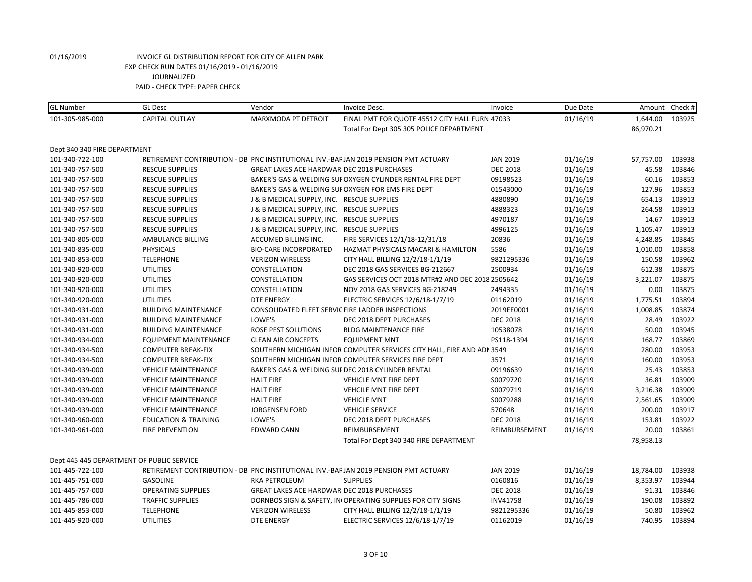| <b>GL</b> Number             | <b>GL Desc</b>                            | Vendor                                            | Invoice Desc.                                                                        | Invoice         | Due Date |           | Amount Check # |
|------------------------------|-------------------------------------------|---------------------------------------------------|--------------------------------------------------------------------------------------|-----------------|----------|-----------|----------------|
| 101-305-985-000              | <b>CAPITAL OUTLAY</b>                     | MARXMODA PT DETROIT                               | FINAL PMT FOR QUOTE 45512 CITY HALL FURN 47033                                       |                 | 01/16/19 | 1,644.00  | 103925         |
|                              |                                           |                                                   | Total For Dept 305 305 POLICE DEPARTMENT                                             |                 |          | 86,970.21 |                |
| Dept 340 340 FIRE DEPARTMENT |                                           |                                                   |                                                                                      |                 |          |           |                |
| 101-340-722-100              |                                           |                                                   | RETIREMENT CONTRIBUTION - DB PNC INSTITUTIONAL INV.-BAF JAN 2019 PENSION PMT ACTUARY | <b>JAN 2019</b> | 01/16/19 | 57,757.00 | 103938         |
| 101-340-757-500              | <b>RESCUE SUPPLIES</b>                    | <b>GREAT LAKES ACE HARDWAR DEC 2018 PURCHASES</b> |                                                                                      | <b>DEC 2018</b> | 01/16/19 | 45.58     | 103846         |
| 101-340-757-500              | <b>RESCUE SUPPLIES</b>                    |                                                   | BAKER'S GAS & WELDING SUFOXYGEN CYLINDER RENTAL FIRE DEPT                            | 09198523        | 01/16/19 | 60.16     | 103853         |
| 101-340-757-500              | <b>RESCUE SUPPLIES</b>                    |                                                   | BAKER'S GAS & WELDING SUI OXYGEN FOR EMS FIRE DEPT                                   | 01543000        | 01/16/19 | 127.96    | 103853         |
| 101-340-757-500              | <b>RESCUE SUPPLIES</b>                    | J & B MEDICAL SUPPLY, INC. RESCUE SUPPLIES        |                                                                                      | 4880890         | 01/16/19 | 654.13    | 103913         |
| 101-340-757-500              | <b>RESCUE SUPPLIES</b>                    | J & B MEDICAL SUPPLY, INC. RESCUE SUPPLIES        |                                                                                      | 4888323         | 01/16/19 | 264.58    | 103913         |
| 101-340-757-500              | <b>RESCUE SUPPLIES</b>                    | J & B MEDICAL SUPPLY, INC. RESCUE SUPPLIES        |                                                                                      | 4970187         | 01/16/19 | 14.67     | 103913         |
| 101-340-757-500              | <b>RESCUE SUPPLIES</b>                    | J & B MEDICAL SUPPLY, INC. RESCUE SUPPLIES        |                                                                                      | 4996125         | 01/16/19 | 1,105.47  | 103913         |
| 101-340-805-000              | AMBULANCE BILLING                         | ACCUMED BILLING INC.                              | FIRE SERVICES 12/1/18-12/31/18                                                       | 20836           | 01/16/19 | 4,248.85  | 103845         |
| 101-340-835-000              | <b>PHYSICALS</b>                          | <b>BIO-CARE INCORPORATED</b>                      | HAZMAT PHYSICALS MACARI & HAMILTON                                                   | 5586            | 01/16/19 | 1,010.00  | 103858         |
| 101-340-853-000              | <b>TELEPHONE</b>                          | <b>VERIZON WIRELESS</b>                           | CITY HALL BILLING 12/2/18-1/1/19                                                     | 9821295336      | 01/16/19 | 150.58    | 103962         |
| 101-340-920-000              | <b>UTILITIES</b>                          | CONSTELLATION                                     | DEC 2018 GAS SERVICES BG-212667                                                      | 2500934         | 01/16/19 | 612.38    | 103875         |
| 101-340-920-000              | <b>UTILITIES</b>                          | CONSTELLATION                                     | GAS SERVICES OCT 2018 MTR#2 AND DEC 2018 2505642                                     |                 | 01/16/19 | 3,221.07  | 103875         |
| 101-340-920-000              | <b>UTILITIES</b>                          | CONSTELLATION                                     | NOV 2018 GAS SERVICES BG-218249                                                      | 2494335         | 01/16/19 | 0.00      | 103875         |
| 101-340-920-000              | <b>UTILITIES</b>                          | <b>DTE ENERGY</b>                                 | ELECTRIC SERVICES 12/6/18-1/7/19                                                     | 01162019        | 01/16/19 | 1,775.51  | 103894         |
| 101-340-931-000              | <b>BUILDING MAINTENANCE</b>               |                                                   | CONSOLIDATED FLEET SERVIC FIRE LADDER INSPECTIONS                                    | 2019EE0001      | 01/16/19 | 1,008.85  | 103874         |
| 101-340-931-000              | <b>BUILDING MAINTENANCE</b>               | LOWE'S                                            | DEC 2018 DEPT PURCHASES                                                              | <b>DEC 2018</b> | 01/16/19 | 28.49     | 103922         |
| 101-340-931-000              | <b>BUILDING MAINTENANCE</b>               | ROSE PEST SOLUTIONS                               | <b>BLDG MAINTENANCE FIRE</b>                                                         | 10538078        | 01/16/19 | 50.00     | 103945         |
| 101-340-934-000              | <b>EQUIPMENT MAINTENANCE</b>              | <b>CLEAN AIR CONCEPTS</b>                         | <b>EQUIPMENT MNT</b>                                                                 | PS118-1394      | 01/16/19 | 168.77    | 103869         |
| 101-340-934-500              | <b>COMPUTER BREAK-FIX</b>                 |                                                   | SOUTHERN MICHIGAN INFOR COMPUTER SERVICES CITY HALL, FIRE AND ADN 3549               |                 | 01/16/19 | 280.00    | 103953         |
| 101-340-934-500              | <b>COMPUTER BREAK-FIX</b>                 |                                                   | SOUTHERN MICHIGAN INFOR COMPUTER SERVICES FIRE DEPT                                  | 3571            | 01/16/19 | 160.00    | 103953         |
| 101-340-939-000              | <b>VEHICLE MAINTENANCE</b>                |                                                   | BAKER'S GAS & WELDING SUI DEC 2018 CYLINDER RENTAL                                   | 09196639        | 01/16/19 | 25.43     | 103853         |
| 101-340-939-000              | <b>VEHICLE MAINTENANCE</b>                | <b>HALT FIRE</b>                                  | VEHICLE MNT FIRE DEPT                                                                | S0079720        | 01/16/19 | 36.81     | 103909         |
| 101-340-939-000              | <b>VEHICLE MAINTENANCE</b>                | <b>HALT FIRE</b>                                  | VEHCILE MNT FIRE DEPT                                                                | S0079719        | 01/16/19 | 3,216.38  | 103909         |
| 101-340-939-000              | <b>VEHICLE MAINTENANCE</b>                | <b>HALT FIRE</b>                                  | <b>VEHICLE MNT</b>                                                                   | S0079288        | 01/16/19 | 2,561.65  | 103909         |
| 101-340-939-000              | <b>VEHICLE MAINTENANCE</b>                | <b>JORGENSEN FORD</b>                             | <b>VEHICLE SERVICE</b>                                                               | 570648          | 01/16/19 | 200.00    | 103917         |
| 101-340-960-000              | <b>EDUCATION &amp; TRAINING</b>           | LOWE'S                                            | DEC 2018 DEPT PURCHASES                                                              | <b>DEC 2018</b> | 01/16/19 | 153.81    | 103922         |
| 101-340-961-000              | <b>FIRE PREVENTION</b>                    | <b>EDWARD CANN</b>                                | REIMBURSEMENT                                                                        | REIMBURSEMENT   | 01/16/19 | 20.00     | 103861         |
|                              |                                           |                                                   | Total For Dept 340 340 FIRE DEPARTMENT                                               |                 |          | 78,958.13 |                |
|                              | Dept 445 445 DEPARTMENT OF PUBLIC SERVICE |                                                   |                                                                                      |                 |          |           |                |
| 101-445-722-100              |                                           |                                                   | RETIREMENT CONTRIBUTION - DB PNC INSTITUTIONAL INV.-BAF JAN 2019 PENSION PMT ACTUARY | <b>JAN 2019</b> | 01/16/19 | 18,784.00 | 103938         |
| 101-445-751-000              | <b>GASOLINE</b>                           | RKA PETROLEUM                                     | <b>SUPPLIES</b>                                                                      | 0160816         | 01/16/19 | 8,353.97  | 103944         |
| 101-445-757-000              | <b>OPERATING SUPPLIES</b>                 | GREAT LAKES ACE HARDWAR DEC 2018 PURCHASES        |                                                                                      | <b>DEC 2018</b> | 01/16/19 | 91.31     | 103846         |
| 101-445-786-000              | <b>TRAFFIC SUPPLIES</b>                   |                                                   | DORNBOS SIGN & SAFETY, INI OPERATING SUPPLIES FOR CITY SIGNS                         | <b>INV41758</b> | 01/16/19 | 190.08    | 103892         |
| 101-445-853-000              | <b>TELEPHONE</b>                          | <b>VERIZON WIRELESS</b>                           | CITY HALL BILLING 12/2/18-1/1/19                                                     | 9821295336      | 01/16/19 | 50.80     | 103962         |
| 101-445-920-000              | <b>UTILITIES</b>                          | <b>DTE ENERGY</b>                                 | ELECTRIC SERVICES 12/6/18-1/7/19                                                     | 01162019        | 01/16/19 | 740.95    | 103894         |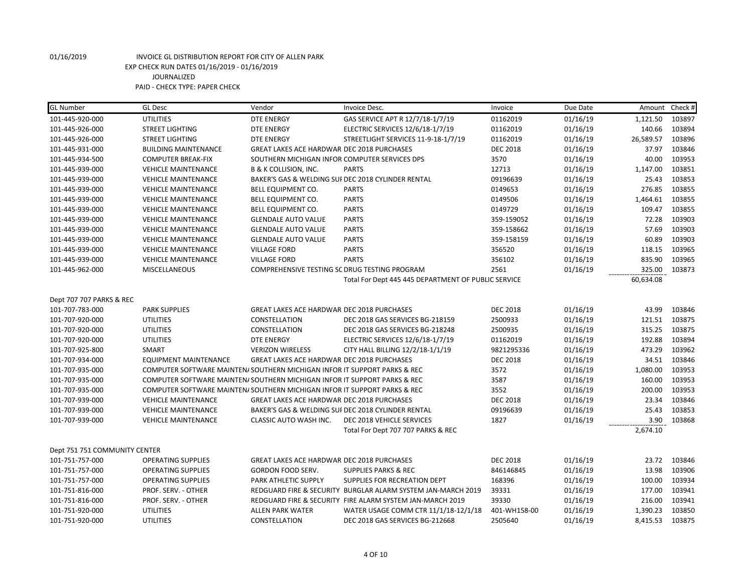| <b>GL Number</b>              | <b>GL Desc</b>                                                            | Vendor                                             | Invoice Desc.                                                | Invoice         | Due Date | Amount    | Check # |
|-------------------------------|---------------------------------------------------------------------------|----------------------------------------------------|--------------------------------------------------------------|-----------------|----------|-----------|---------|
| 101-445-920-000               | <b>UTILITIES</b>                                                          | <b>DTE ENERGY</b>                                  | GAS SERVICE APT R 12/7/18-1/7/19                             | 01162019        | 01/16/19 | 1,121.50  | 103897  |
| 101-445-926-000               | <b>STREET LIGHTING</b>                                                    | <b>DTE ENERGY</b>                                  | ELECTRIC SERVICES 12/6/18-1/7/19                             | 01162019        | 01/16/19 | 140.66    | 103894  |
| 101-445-926-000               | <b>STREET LIGHTING</b>                                                    | <b>DTE ENERGY</b>                                  | STREETLIGHT SERVICES 11-9-18-1/7/19                          | 01162019        | 01/16/19 | 26,589.57 | 103896  |
| 101-445-931-000               | <b>BUILDING MAINTENANCE</b>                                               | GREAT LAKES ACE HARDWAR DEC 2018 PURCHASES         |                                                              | <b>DEC 2018</b> | 01/16/19 | 37.97     | 103846  |
| 101-445-934-500               | <b>COMPUTER BREAK-FIX</b>                                                 | SOUTHERN MICHIGAN INFOR COMPUTER SERVICES DPS      |                                                              | 3570            | 01/16/19 | 40.00     | 103953  |
| 101-445-939-000               | <b>VEHICLE MAINTENANCE</b>                                                | <b>B &amp; K COLLISION, INC.</b>                   | <b>PARTS</b>                                                 | 12713           | 01/16/19 | 1,147.00  | 103851  |
| 101-445-939-000               | <b>VEHICLE MAINTENANCE</b>                                                | BAKER'S GAS & WELDING SUI DEC 2018 CYLINDER RENTAL |                                                              | 09196639        | 01/16/19 | 25.43     | 103853  |
| 101-445-939-000               | <b>VEHICLE MAINTENANCE</b>                                                | BELL EQUIPMENT CO.                                 | <b>PARTS</b>                                                 | 0149653         | 01/16/19 | 276.85    | 103855  |
| 101-445-939-000               | <b>VEHICLE MAINTENANCE</b>                                                | BELL EQUIPMENT CO.                                 | <b>PARTS</b>                                                 | 0149506         | 01/16/19 | 1,464.61  | 103855  |
| 101-445-939-000               | <b>VEHICLE MAINTENANCE</b>                                                | BELL EQUIPMENT CO.                                 | <b>PARTS</b>                                                 | 0149729         | 01/16/19 | 109.47    | 103855  |
| 101-445-939-000               | <b>VEHICLE MAINTENANCE</b>                                                | <b>GLENDALE AUTO VALUE</b>                         | <b>PARTS</b>                                                 | 359-159052      | 01/16/19 | 72.28     | 103903  |
| 101-445-939-000               | <b>VEHICLE MAINTENANCE</b>                                                | <b>GLENDALE AUTO VALUE</b>                         | <b>PARTS</b>                                                 | 359-158662      | 01/16/19 | 57.69     | 103903  |
| 101-445-939-000               | <b>VEHICLE MAINTENANCE</b>                                                | <b>GLENDALE AUTO VALUE</b>                         | <b>PARTS</b>                                                 | 359-158159      | 01/16/19 | 60.89     | 103903  |
| 101-445-939-000               | <b>VEHICLE MAINTENANCE</b>                                                | <b>VILLAGE FORD</b>                                | <b>PARTS</b>                                                 | 356520          | 01/16/19 | 118.15    | 103965  |
| 101-445-939-000               | <b>VEHICLE MAINTENANCE</b>                                                | <b>VILLAGE FORD</b>                                | <b>PARTS</b>                                                 | 356102          | 01/16/19 | 835.90    | 103965  |
| 101-445-962-000               | MISCELLANEOUS                                                             | COMPREHENSIVE TESTING SC DRUG TESTING PROGRAM      |                                                              | 2561            | 01/16/19 | 325.00    | 103873  |
|                               |                                                                           |                                                    | Total For Dept 445 445 DEPARTMENT OF PUBLIC SERVICE          |                 |          | 60,634.08 |         |
|                               |                                                                           |                                                    |                                                              |                 |          |           |         |
| Dept 707 707 PARKS & REC      |                                                                           |                                                    |                                                              |                 |          |           |         |
| 101-707-783-000               | <b>PARK SUPPLIES</b>                                                      | <b>GREAT LAKES ACE HARDWAR DEC 2018 PURCHASES</b>  |                                                              | <b>DEC 2018</b> | 01/16/19 | 43.99     | 103846  |
| 101-707-920-000               | <b>UTILITIES</b>                                                          | CONSTELLATION                                      | DEC 2018 GAS SERVICES BG-218159                              | 2500933         | 01/16/19 | 121.51    | 103875  |
| 101-707-920-000               | <b>UTILITIES</b>                                                          | CONSTELLATION                                      | DEC 2018 GAS SERVICES BG-218248                              | 2500935         | 01/16/19 | 315.25    | 103875  |
| 101-707-920-000               | <b>UTILITIES</b>                                                          | <b>DTE ENERGY</b>                                  | ELECTRIC SERVICES 12/6/18-1/7/19                             | 01162019        | 01/16/19 | 192.88    | 103894  |
| 101-707-925-800               | SMART                                                                     | <b>VERIZON WIRELESS</b>                            | CITY HALL BILLING 12/2/18-1/1/19                             | 9821295336      | 01/16/19 | 473.29    | 103962  |
| 101-707-934-000               | <b>EQUIPMENT MAINTENANCE</b>                                              | GREAT LAKES ACE HARDWAR DEC 2018 PURCHASES         |                                                              | <b>DEC 2018</b> | 01/16/19 | 34.51     | 103846  |
| 101-707-935-000               | COMPUTER SOFTWARE MAINTEN/ SOUTHERN MICHIGAN INFOR IT SUPPORT PARKS & REC |                                                    |                                                              | 3572            | 01/16/19 | 1,080.00  | 103953  |
| 101-707-935-000               | COMPUTER SOFTWARE MAINTEN/ SOUTHERN MICHIGAN INFOR IT SUPPORT PARKS & REC |                                                    |                                                              | 3587            | 01/16/19 | 160.00    | 103953  |
| 101-707-935-000               | COMPUTER SOFTWARE MAINTEN/ SOUTHERN MICHIGAN INFOR IT SUPPORT PARKS & REC |                                                    |                                                              | 3552            | 01/16/19 | 200.00    | 103953  |
| 101-707-939-000               | <b>VEHICLE MAINTENANCE</b>                                                | GREAT LAKES ACE HARDWAR DEC 2018 PURCHASES         |                                                              | <b>DEC 2018</b> | 01/16/19 | 23.34     | 103846  |
| 101-707-939-000               | <b>VEHICLE MAINTENANCE</b>                                                | BAKER'S GAS & WELDING SUI DEC 2018 CYLINDER RENTAL |                                                              | 09196639        | 01/16/19 | 25.43     | 103853  |
| 101-707-939-000               | <b>VEHICLE MAINTENANCE</b>                                                | CLASSIC AUTO WASH INC.                             | DEC 2018 VEHICLE SERVICES                                    | 1827            | 01/16/19 | 3.90      | 103868  |
|                               |                                                                           |                                                    | Total For Dept 707 707 PARKS & REC                           |                 |          | 2,674.10  |         |
|                               |                                                                           |                                                    |                                                              |                 |          |           |         |
| Dept 751 751 COMMUNITY CENTER |                                                                           |                                                    |                                                              |                 |          |           |         |
| 101-751-757-000               | <b>OPERATING SUPPLIES</b>                                                 | GREAT LAKES ACE HARDWAR DEC 2018 PURCHASES         |                                                              | <b>DEC 2018</b> | 01/16/19 | 23.72     | 103846  |
| 101-751-757-000               | <b>OPERATING SUPPLIES</b>                                                 | GORDON FOOD SERV.                                  | <b>SUPPLIES PARKS &amp; REC</b>                              | 846146845       | 01/16/19 | 13.98     | 103906  |
| 101-751-757-000               | <b>OPERATING SUPPLIES</b>                                                 | PARK ATHLETIC SUPPLY                               | SUPPLIES FOR RECREATION DEPT                                 | 168396          | 01/16/19 | 100.00    | 103934  |
| 101-751-816-000               | PROF. SERV. - OTHER                                                       |                                                    | REDGUARD FIRE & SECURITY BURGLAR ALARM SYSTEM JAN-MARCH 2019 | 39331           | 01/16/19 | 177.00    | 103941  |
| 101-751-816-000               | PROF. SERV. - OTHER                                                       |                                                    | REDGUARD FIRE & SECURITY FIRE ALARM SYSTEM JAN-MARCH 2019    | 39330           | 01/16/19 | 216.00    | 103941  |
| 101-751-920-000               | <b>UTILITIES</b>                                                          | <b>ALLEN PARK WATER</b>                            | WATER USAGE COMM CTR 11/1/18-12/1/18                         | 401-WH158-00    | 01/16/19 | 1,390.23  | 103850  |
| 101-751-920-000               | <b>UTILITIES</b>                                                          | CONSTELLATION                                      | DEC 2018 GAS SERVICES BG-212668                              | 2505640         | 01/16/19 | 8,415.53  | 103875  |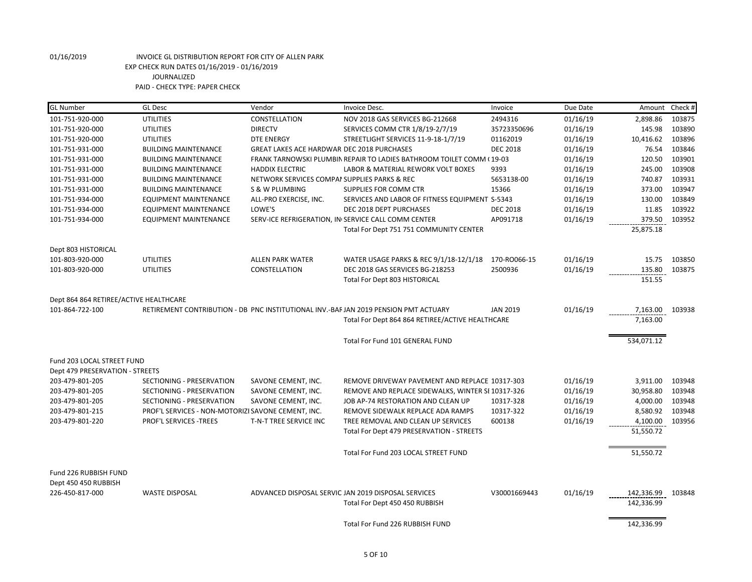| <b>GL Number</b>                       | <b>GL</b> Desc                                     | Vendor                                       | Invoice Desc.                                                                        | Invoice                 | Due Date             | Amount Check #  |                  |
|----------------------------------------|----------------------------------------------------|----------------------------------------------|--------------------------------------------------------------------------------------|-------------------------|----------------------|-----------------|------------------|
| 101-751-920-000                        | <b>UTILITIES</b>                                   | CONSTELLATION                                | NOV 2018 GAS SERVICES BG-212668                                                      | 2494316                 | 01/16/19             | 2,898.86        | 103875           |
| 101-751-920-000                        | <b>UTILITIES</b>                                   | <b>DIRECTV</b>                               | SERVICES COMM CTR 1/8/19-2/7/19                                                      | 35723350696             | 01/16/19             | 145.98          | 103890           |
| 101-751-920-000                        | <b>UTILITIES</b>                                   | <b>DTE ENERGY</b>                            | STREETLIGHT SERVICES 11-9-18-1/7/19                                                  | 01162019                | 01/16/19             | 10,416.62       | 103896           |
| 101-751-931-000                        | <b>BUILDING MAINTENANCE</b>                        | GREAT LAKES ACE HARDWAR DEC 2018 PURCHASES   |                                                                                      | <b>DEC 2018</b>         | 01/16/19             | 76.54           | 103846           |
| 101-751-931-000                        | <b>BUILDING MAINTENANCE</b>                        |                                              | FRANK TARNOWSKI PLUMBIN REPAIR TO LADIES BATHROOM TOILET COMM (19-03                 |                         | 01/16/19             | 120.50          | 103901           |
| 101-751-931-000                        | <b>BUILDING MAINTENANCE</b>                        | <b>HADDIX ELECTRIC</b>                       | LABOR & MATERIAL REWORK VOLT BOXES                                                   | 9393                    | 01/16/19             | 245.00          | 103908           |
| 101-751-931-000                        | <b>BUILDING MAINTENANCE</b>                        | NETWORK SERVICES COMPAI SUPPLIES PARKS & REC |                                                                                      | 5653138-00              | 01/16/19             | 740.87          | 103931           |
| 101-751-931-000                        | <b>BUILDING MAINTENANCE</b>                        | S & W PLUMBING                               | <b>SUPPLIES FOR COMM CTR</b>                                                         | 15366                   | 01/16/19             | 373.00          | 103947           |
| 101-751-934-000                        | <b>EQUIPMENT MAINTENANCE</b>                       | ALL-PRO EXERCISE, INC.                       | SERVICES AND LABOR OF FITNESS EQUIPMENT S-5343                                       |                         | 01/16/19             | 130.00          | 103849           |
| 101-751-934-000                        | <b>EQUIPMENT MAINTENANCE</b>                       | LOWE'S                                       | DEC 2018 DEPT PURCHASES                                                              | <b>DEC 2018</b>         | 01/16/19             | 11.85           | 103922           |
| 101-751-934-000                        | <b>EQUIPMENT MAINTENANCE</b>                       |                                              | SERV-ICE REFRIGERATION, IN SERVICE CALL COMM CENTER                                  | AP091718                | 01/16/19             | 379.50          | 103952           |
|                                        |                                                    |                                              | Total For Dept 751 751 COMMUNITY CENTER                                              |                         |                      | 25,875.18       |                  |
|                                        |                                                    |                                              |                                                                                      |                         |                      |                 |                  |
| Dept 803 HISTORICAL                    | <b>UTILITIES</b>                                   |                                              |                                                                                      |                         |                      |                 |                  |
| 101-803-920-000<br>101-803-920-000     | <b>UTILITIES</b>                                   | <b>ALLEN PARK WATER</b><br>CONSTELLATION     | WATER USAGE PARKS & REC 9/1/18-12/1/18<br>DEC 2018 GAS SERVICES BG-218253            | 170-RO066-15<br>2500936 | 01/16/19<br>01/16/19 | 15.75<br>135.80 | 103850<br>103875 |
|                                        |                                                    |                                              | Total For Dept 803 HISTORICAL                                                        |                         |                      | 151.55          |                  |
|                                        |                                                    |                                              |                                                                                      |                         |                      |                 |                  |
| Dept 864 864 RETIREE/ACTIVE HEALTHCARE |                                                    |                                              |                                                                                      |                         |                      |                 |                  |
| 101-864-722-100                        |                                                    |                                              | RETIREMENT CONTRIBUTION - DB PNC INSTITUTIONAL INV.-BAF JAN 2019 PENSION PMT ACTUARY | <b>JAN 2019</b>         | 01/16/19             | 7,163.00        | 103938           |
|                                        |                                                    |                                              | Total For Dept 864 864 RETIREE/ACTIVE HEALTHCARE                                     |                         |                      | 7,163.00        |                  |
|                                        |                                                    |                                              |                                                                                      |                         |                      |                 |                  |
|                                        |                                                    |                                              | Total For Fund 101 GENERAL FUND                                                      |                         |                      | 534,071.12      |                  |
| Fund 203 LOCAL STREET FUND             |                                                    |                                              |                                                                                      |                         |                      |                 |                  |
| Dept 479 PRESERVATION - STREETS        |                                                    |                                              |                                                                                      |                         |                      |                 |                  |
| 203-479-801-205                        | SECTIONING - PRESERVATION                          | SAVONE CEMENT, INC.                          | REMOVE DRIVEWAY PAVEMENT AND REPLACE 10317-303                                       |                         | 01/16/19             | 3,911.00        | 103948           |
| 203-479-801-205                        | SECTIONING - PRESERVATION                          | SAVONE CEMENT, INC.                          | REMOVE AND REPLACE SIDEWALKS, WINTER SI 10317-326                                    |                         | 01/16/19             | 30,958.80       | 103948           |
| 203-479-801-205                        | SECTIONING - PRESERVATION                          | SAVONE CEMENT, INC.                          | JOB AP-74 RESTORATION AND CLEAN UP                                                   | 10317-328               | 01/16/19             | 4,000.00        | 103948           |
| 203-479-801-215                        | PROF'L SERVICES - NON-MOTORIZI SAVONE CEMENT, INC. |                                              | REMOVE SIDEWALK REPLACE ADA RAMPS                                                    | 10317-322               | 01/16/19             | 8,580.92        | 103948           |
| 203-479-801-220                        | PROF'L SERVICES -TREES                             | T-N-T TREE SERVICE INC                       | TREE REMOVAL AND CLEAN UP SERVICES                                                   | 600138                  | 01/16/19             | 4,100.00        | 103956           |
|                                        |                                                    |                                              | Total For Dept 479 PRESERVATION - STREETS                                            |                         |                      | 51,550.72       |                  |
|                                        |                                                    |                                              |                                                                                      |                         |                      |                 |                  |
|                                        |                                                    |                                              | Total For Fund 203 LOCAL STREET FUND                                                 |                         |                      | 51,550.72       |                  |
|                                        |                                                    |                                              |                                                                                      |                         |                      |                 |                  |
| Fund 226 RUBBISH FUND                  |                                                    |                                              |                                                                                      |                         |                      |                 |                  |
| Dept 450 450 RUBBISH                   |                                                    |                                              |                                                                                      |                         |                      |                 |                  |
| 226-450-817-000                        | <b>WASTE DISPOSAL</b>                              |                                              | ADVANCED DISPOSAL SERVIC JAN 2019 DISPOSAL SERVICES                                  | V30001669443            | 01/16/19             | 142,336.99      | 103848           |
|                                        |                                                    |                                              | Total For Dept 450 450 RUBBISH                                                       |                         |                      | 142,336.99      |                  |
|                                        |                                                    |                                              |                                                                                      |                         |                      |                 |                  |
|                                        |                                                    |                                              | Total For Fund 226 RUBBISH FUND                                                      |                         |                      | 142,336.99      |                  |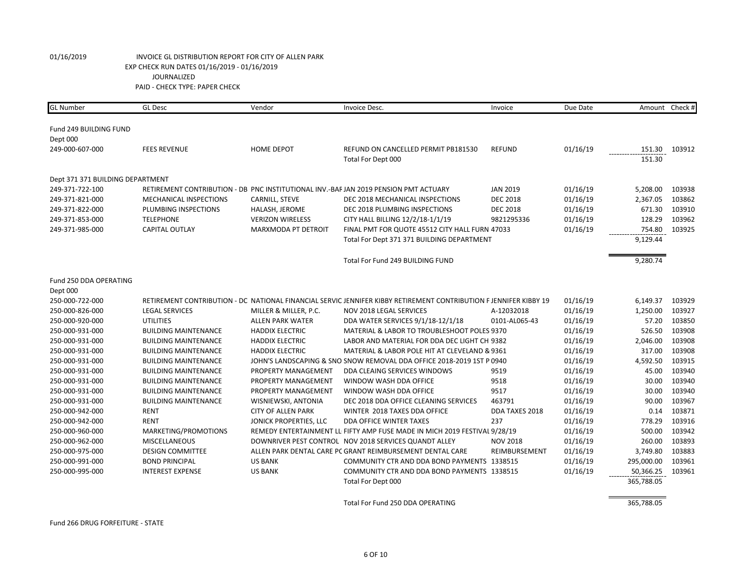| <b>GL Number</b>                 | <b>GL Desc</b>              | Vendor                    | Invoice Desc.                                                                                                     | Invoice         | Due Date | Amount Check #   |        |
|----------------------------------|-----------------------------|---------------------------|-------------------------------------------------------------------------------------------------------------------|-----------------|----------|------------------|--------|
|                                  |                             |                           |                                                                                                                   |                 |          |                  |        |
| Fund 249 BUILDING FUND           |                             |                           |                                                                                                                   |                 |          |                  |        |
| Dept 000<br>249-000-607-000      | <b>FEES REVENUE</b>         | HOME DEPOT                | REFUND ON CANCELLED PERMIT PB181530                                                                               | <b>REFUND</b>   | 01/16/19 |                  | 103912 |
|                                  |                             |                           | Total For Dept 000                                                                                                |                 |          | 151.30<br>151.30 |        |
|                                  |                             |                           |                                                                                                                   |                 |          |                  |        |
| Dept 371 371 BUILDING DEPARTMENT |                             |                           |                                                                                                                   |                 |          |                  |        |
| 249-371-722-100                  |                             |                           | RETIREMENT CONTRIBUTION - DB PNC INSTITUTIONAL INV.-BAF JAN 2019 PENSION PMT ACTUARY                              | <b>JAN 2019</b> | 01/16/19 | 5,208.00         | 103938 |
| 249-371-821-000                  | MECHANICAL INSPECTIONS      | CARNILL, STEVE            | DEC 2018 MECHANICAL INSPECTIONS                                                                                   | <b>DEC 2018</b> | 01/16/19 | 2,367.05         | 103862 |
| 249-371-822-000                  | PLUMBING INSPECTIONS        | HALASH, JEROME            | DEC 2018 PLUMBING INSPECTIONS                                                                                     | <b>DEC 2018</b> | 01/16/19 | 671.30           | 103910 |
| 249-371-853-000                  | <b>TELEPHONE</b>            | <b>VERIZON WIRELESS</b>   | CITY HALL BILLING 12/2/18-1/1/19                                                                                  | 9821295336      | 01/16/19 | 128.29           | 103962 |
| 249-371-985-000                  | <b>CAPITAL OUTLAY</b>       | MARXMODA PT DETROIT       | FINAL PMT FOR QUOTE 45512 CITY HALL FURN 47033                                                                    |                 | 01/16/19 | 754.80           | 103925 |
|                                  |                             |                           | Total For Dept 371 371 BUILDING DEPARTMENT                                                                        |                 |          | 9,129.44         |        |
|                                  |                             |                           |                                                                                                                   |                 |          |                  |        |
|                                  |                             |                           | Total For Fund 249 BUILDING FUND                                                                                  |                 |          | 9,280.74         |        |
| Fund 250 DDA OPERATING           |                             |                           |                                                                                                                   |                 |          |                  |        |
| Dept 000                         |                             |                           |                                                                                                                   |                 |          |                  |        |
| 250-000-722-000                  |                             |                           | RETIREMENT CONTRIBUTION - DC NATIONAL FINANCIAL SERVIC JENNIFER KIBBY RETIREMENT CONTRIBUTION F JENNIFER KIBBY 19 |                 | 01/16/19 | 6,149.37         | 103929 |
| 250-000-826-000                  | <b>LEGAL SERVICES</b>       | MILLER & MILLER, P.C.     | NOV 2018 LEGAL SERVICES                                                                                           | A-12032018      | 01/16/19 | 1,250.00         | 103927 |
| 250-000-920-000                  | <b>UTILITIES</b>            | <b>ALLEN PARK WATER</b>   | DDA WATER SERVICES 9/1/18-12/1/18                                                                                 | 0101-AL065-43   | 01/16/19 | 57.20            | 103850 |
| 250-000-931-000                  | <b>BUILDING MAINTENANCE</b> | <b>HADDIX ELECTRIC</b>    | MATERIAL & LABOR TO TROUBLESHOOT POLES 9370                                                                       |                 | 01/16/19 | 526.50           | 103908 |
| 250-000-931-000                  | <b>BUILDING MAINTENANCE</b> | <b>HADDIX ELECTRIC</b>    | LABOR AND MATERIAL FOR DDA DEC LIGHT CH 9382                                                                      |                 | 01/16/19 | 2,046.00         | 103908 |
| 250-000-931-000                  | <b>BUILDING MAINTENANCE</b> | <b>HADDIX ELECTRIC</b>    | MATERIAL & LABOR POLE HIT AT CLEVELAND & 9361                                                                     |                 | 01/16/19 | 317.00           | 103908 |
| 250-000-931-000                  | <b>BUILDING MAINTENANCE</b> |                           | JOHN'S LANDSCAPING & SNO SNOW REMOVAL DDA OFFICE 2018-2019 1ST P 0940                                             |                 | 01/16/19 | 4,592.50         | 103915 |
| 250-000-931-000                  | <b>BUILDING MAINTENANCE</b> | PROPERTY MANAGEMENT       | DDA CLEAING SERVICES WINDOWS                                                                                      | 9519            | 01/16/19 | 45.00            | 103940 |
| 250-000-931-000                  | <b>BUILDING MAINTENANCE</b> | PROPERTY MANAGEMENT       | WINDOW WASH DDA OFFICE                                                                                            | 9518            | 01/16/19 | 30.00            | 103940 |
| 250-000-931-000                  | <b>BUILDING MAINTENANCE</b> | PROPERTY MANAGEMENT       | WINDOW WASH DDA OFFICE                                                                                            | 9517            | 01/16/19 | 30.00            | 103940 |
| 250-000-931-000                  | <b>BUILDING MAINTENANCE</b> | WISNIEWSKI, ANTONIA       | DEC 2018 DDA OFFICE CLEANING SERVICES                                                                             | 463791          | 01/16/19 | 90.00            | 103967 |
| 250-000-942-000                  | <b>RENT</b>                 | <b>CITY OF ALLEN PARK</b> | WINTER 2018 TAXES DDA OFFICE                                                                                      | DDA TAXES 2018  | 01/16/19 | 0.14             | 103871 |
| 250-000-942-000                  | <b>RENT</b>                 | JONICK PROPERTIES, LLC    | DDA OFFICE WINTER TAXES                                                                                           | 237             | 01/16/19 | 778.29           | 103916 |
| 250-000-960-000                  | MARKETING/PROMOTIONS        |                           | REMEDY ENTERTAINMENT LL FIFTY AMP FUSE MADE IN MICH 2019 FESTIVAL 9/28/19                                         |                 | 01/16/19 | 500.00           | 103942 |
| 250-000-962-000                  | MISCELLANEOUS               |                           | DOWNRIVER PEST CONTROL NOV 2018 SERVICES QUANDT ALLEY                                                             | <b>NOV 2018</b> | 01/16/19 | 260.00           | 103893 |
| 250-000-975-000                  | <b>DESIGN COMMITTEE</b>     |                           | ALLEN PARK DENTAL CARE PC GRANT REIMBURSEMENT DENTAL CARE                                                         | REIMBURSEMENT   | 01/16/19 | 3,749.80         | 103883 |
| 250-000-991-000                  | <b>BOND PRINCIPAL</b>       | <b>US BANK</b>            | COMMUNITY CTR AND DDA BOND PAYMENTS 1338515                                                                       |                 | 01/16/19 | 295,000.00       | 103961 |
| 250-000-995-000                  | <b>INTEREST EXPENSE</b>     | <b>US BANK</b>            | COMMUNITY CTR AND DDA BOND PAYMENTS 1338515                                                                       |                 | 01/16/19 | 50,366.25        | 103961 |
|                                  |                             |                           | Total For Dept 000                                                                                                |                 |          | 365,788.05       |        |
|                                  |                             |                           |                                                                                                                   |                 |          |                  |        |
|                                  |                             |                           | Total For Fund 250 DDA OPERATING                                                                                  |                 |          | 365,788.05       |        |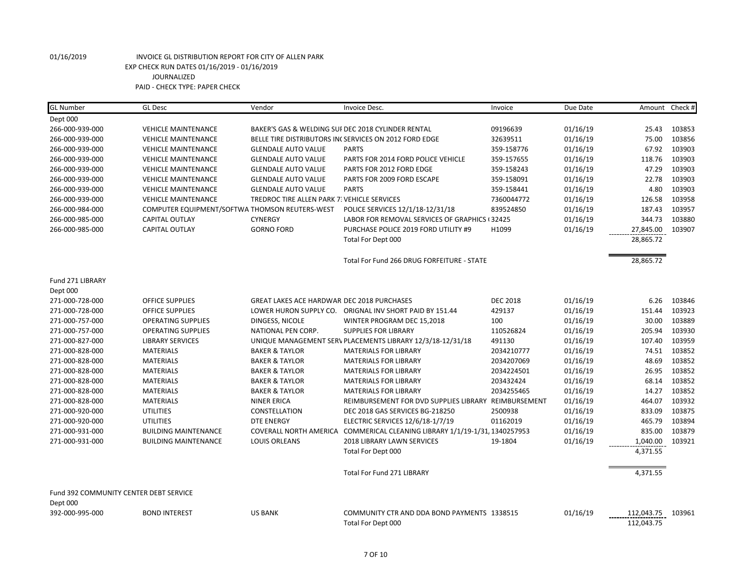| <b>GL Number</b>                       | <b>GL Desc</b>              | Vendor                                            | Invoice Desc.                                                              | Invoice         | Due Date |            | Amount Check # |
|----------------------------------------|-----------------------------|---------------------------------------------------|----------------------------------------------------------------------------|-----------------|----------|------------|----------------|
| Dept 000                               |                             |                                                   |                                                                            |                 |          |            |                |
| 266-000-939-000                        | <b>VEHICLE MAINTENANCE</b>  |                                                   | BAKER'S GAS & WELDING SUI DEC 2018 CYLINDER RENTAL                         | 09196639        | 01/16/19 | 25.43      | 103853         |
| 266-000-939-000                        | <b>VEHICLE MAINTENANCE</b>  |                                                   | BELLE TIRE DISTRIBUTORS IN(SERVICES ON 2012 FORD EDGE                      | 32639511        | 01/16/19 | 75.00      | 103856         |
| 266-000-939-000                        | <b>VEHICLE MAINTENANCE</b>  | <b>GLENDALE AUTO VALUE</b>                        | <b>PARTS</b>                                                               | 359-158776      | 01/16/19 | 67.92      | 103903         |
| 266-000-939-000                        | <b>VEHICLE MAINTENANCE</b>  | <b>GLENDALE AUTO VALUE</b>                        | PARTS FOR 2014 FORD POLICE VEHICLE                                         | 359-157655      | 01/16/19 | 118.76     | 103903         |
| 266-000-939-000                        | <b>VEHICLE MAINTENANCE</b>  | <b>GLENDALE AUTO VALUE</b>                        | PARTS FOR 2012 FORD EDGE                                                   | 359-158243      | 01/16/19 | 47.29      | 103903         |
| 266-000-939-000                        | <b>VEHICLE MAINTENANCE</b>  | <b>GLENDALE AUTO VALUE</b>                        | PARTS FOR 2009 FORD ESCAPE                                                 | 359-158091      | 01/16/19 | 22.78      | 103903         |
| 266-000-939-000                        | <b>VEHICLE MAINTENANCE</b>  | <b>GLENDALE AUTO VALUE</b>                        | <b>PARTS</b>                                                               | 359-158441      | 01/16/19 | 4.80       | 103903         |
| 266-000-939-000                        | <b>VEHICLE MAINTENANCE</b>  | TREDROC TIRE ALLEN PARK 7. VEHICLE SERVICES       |                                                                            | 7360044772      | 01/16/19 | 126.58     | 103958         |
| 266-000-984-000                        |                             | COMPUTER EQUIPMENT/SOFTWA THOMSON REUTERS-WEST    | POLICE SERVICES 12/1/18-12/31/18                                           | 839524850       | 01/16/19 | 187.43     | 103957         |
| 266-000-985-000                        | <b>CAPITAL OUTLAY</b>       | <b>CYNERGY</b>                                    | LABOR FOR REMOVAL SERVICES OF GRAPHICS (32425                              |                 | 01/16/19 | 344.73     | 103880         |
| 266-000-985-000                        | <b>CAPITAL OUTLAY</b>       | <b>GORNO FORD</b>                                 | PURCHASE POLICE 2019 FORD UTILITY #9                                       | H1099           | 01/16/19 | 27,845.00  | 103907         |
|                                        |                             |                                                   | Total For Dept 000                                                         |                 |          | 28,865.72  |                |
|                                        |                             |                                                   | Total For Fund 266 DRUG FORFEITURE - STATE                                 |                 |          | 28,865.72  |                |
| Fund 271 LIBRARY                       |                             |                                                   |                                                                            |                 |          |            |                |
| Dept 000                               |                             |                                                   |                                                                            |                 |          |            |                |
| 271-000-728-000                        | <b>OFFICE SUPPLIES</b>      | <b>GREAT LAKES ACE HARDWAR DEC 2018 PURCHASES</b> |                                                                            | <b>DEC 2018</b> | 01/16/19 | 6.26       | 103846         |
| 271-000-728-000                        | <b>OFFICE SUPPLIES</b>      |                                                   | LOWER HURON SUPPLY CO. ORIGNAL INV SHORT PAID BY 151.44                    | 429137          | 01/16/19 | 151.44     | 103923         |
| 271-000-757-000                        | <b>OPERATING SUPPLIES</b>   | DINGESS, NICOLE                                   | WINTER PROGRAM DEC 15,2018                                                 | 100             | 01/16/19 | 30.00      | 103889         |
| 271-000-757-000                        | <b>OPERATING SUPPLIES</b>   | NATIONAL PEN CORP.                                | <b>SUPPLIES FOR LIBRARY</b>                                                | 110526824       | 01/16/19 | 205.94     | 103930         |
| 271-000-827-000                        | <b>LIBRARY SERVICES</b>     |                                                   | UNIQUE MANAGEMENT SERV PLACEMENTS LIBRARY 12/3/18-12/31/18                 | 491130          | 01/16/19 | 107.40     | 103959         |
| 271-000-828-000                        | <b>MATERIALS</b>            | <b>BAKER &amp; TAYLOR</b>                         | <b>MATERIALS FOR LIBRARY</b>                                               | 2034210777      | 01/16/19 | 74.51      | 103852         |
| 271-000-828-000                        | <b>MATERIALS</b>            | <b>BAKER &amp; TAYLOR</b>                         | <b>MATERIALS FOR LIBRARY</b>                                               | 2034207069      | 01/16/19 | 48.69      | 103852         |
| 271-000-828-000                        | <b>MATERIALS</b>            | <b>BAKER &amp; TAYLOR</b>                         | <b>MATERIALS FOR LIBRARY</b>                                               | 2034224501      | 01/16/19 | 26.95      | 103852         |
| 271-000-828-000                        | <b>MATERIALS</b>            | <b>BAKER &amp; TAYLOR</b>                         | <b>MATERIALS FOR LIBRARY</b>                                               | 203432424       | 01/16/19 | 68.14      | 103852         |
| 271-000-828-000                        | <b>MATERIALS</b>            | <b>BAKER &amp; TAYLOR</b>                         | <b>MATERIALS FOR LIBRARY</b>                                               | 2034255465      | 01/16/19 | 14.27      | 103852         |
| 271-000-828-000                        | <b>MATERIALS</b>            | <b>NINER ERICA</b>                                | REIMBURSEMENT FOR DVD SUPPLIES LIBRARY REIMBURSEMENT                       |                 | 01/16/19 | 464.07     | 103932         |
| 271-000-920-000                        | <b>UTILITIES</b>            | CONSTELLATION                                     | DEC 2018 GAS SERVICES BG-218250                                            | 2500938         | 01/16/19 | 833.09     | 103875         |
| 271-000-920-000                        | <b>UTILITIES</b>            | <b>DTE ENERGY</b>                                 | ELECTRIC SERVICES 12/6/18-1/7/19                                           | 01162019        | 01/16/19 | 465.79     | 103894         |
| 271-000-931-000                        | <b>BUILDING MAINTENANCE</b> |                                                   | COVERALL NORTH AMERICA COMMERICAL CLEANING LIBRARY 1/1/19-1/31, 1340257953 |                 | 01/16/19 | 835.00     | 103879         |
| 271-000-931-000                        | <b>BUILDING MAINTENANCE</b> | LOUIS ORLEANS                                     | <b>2018 LIBRARY LAWN SERVICES</b>                                          | 19-1804         | 01/16/19 | 1,040.00   | 103921         |
|                                        |                             |                                                   | Total For Dept 000                                                         |                 |          | 4,371.55   |                |
|                                        |                             |                                                   | Total For Fund 271 LIBRARY                                                 |                 |          | 4,371.55   |                |
| Fund 392 COMMUNITY CENTER DEBT SERVICE |                             |                                                   |                                                                            |                 |          |            |                |
| Dept 000                               |                             |                                                   |                                                                            |                 |          |            |                |
| 392-000-995-000                        | <b>BOND INTEREST</b>        | <b>US BANK</b>                                    | COMMUNITY CTR AND DDA BOND PAYMENTS 1338515                                |                 | 01/16/19 | 112,043.75 | 103961         |
|                                        |                             |                                                   | Total For Dept 000                                                         |                 |          | 112,043.75 |                |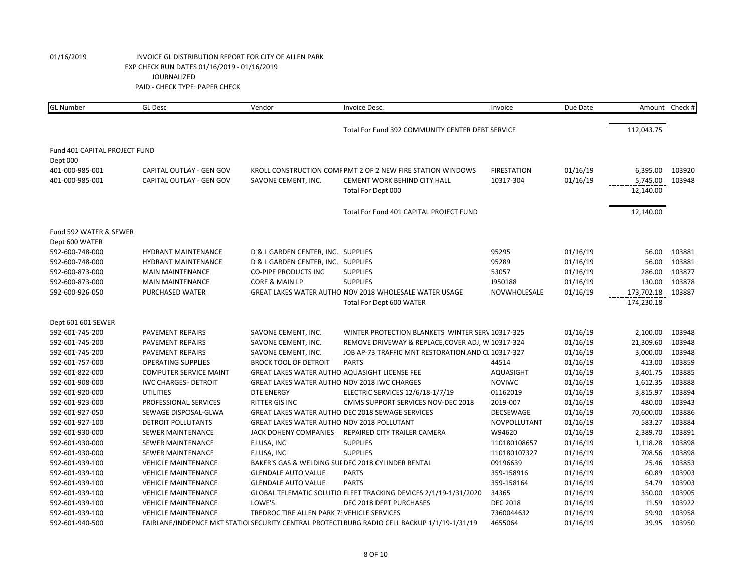| <b>GL</b> Number              | <b>GL Desc</b>                | Vendor                                               | Invoice Desc.                                                                                 | Invoice            | Due Date |            | Amount Check # |
|-------------------------------|-------------------------------|------------------------------------------------------|-----------------------------------------------------------------------------------------------|--------------------|----------|------------|----------------|
|                               |                               |                                                      |                                                                                               |                    |          |            |                |
|                               |                               |                                                      | Total For Fund 392 COMMUNITY CENTER DEBT SERVICE                                              |                    |          | 112,043.75 |                |
| Fund 401 CAPITAL PROJECT FUND |                               |                                                      |                                                                                               |                    |          |            |                |
| Dept 000                      |                               |                                                      |                                                                                               |                    |          |            |                |
| 401-000-985-001               | CAPITAL OUTLAY - GEN GOV      |                                                      | KROLL CONSTRUCTION COMF PMT 2 OF 2 NEW FIRE STATION WINDOWS                                   | <b>FIRESTATION</b> | 01/16/19 | 6,395.00   | 103920         |
| 401-000-985-001               | CAPITAL OUTLAY - GEN GOV      | SAVONE CEMENT, INC.                                  | <b>CEMENT WORK BEHIND CITY HALL</b>                                                           | 10317-304          | 01/16/19 | 5,745.00   | 103948         |
|                               |                               |                                                      | Total For Dept 000                                                                            |                    |          | 12,140.00  |                |
|                               |                               |                                                      | Total For Fund 401 CAPITAL PROJECT FUND                                                       |                    |          | 12,140.00  |                |
| Fund 592 WATER & SEWER        |                               |                                                      |                                                                                               |                    |          |            |                |
| Dept 600 WATER                |                               |                                                      |                                                                                               |                    |          |            |                |
| 592-600-748-000               | <b>HYDRANT MAINTENANCE</b>    | D & L GARDEN CENTER, INC. SUPPLIES                   |                                                                                               | 95295              | 01/16/19 | 56.00      | 103881         |
| 592-600-748-000               | <b>HYDRANT MAINTENANCE</b>    | D & L GARDEN CENTER, INC. SUPPLIES                   |                                                                                               | 95289              | 01/16/19 | 56.00      | 103881         |
| 592-600-873-000               | <b>MAIN MAINTENANCE</b>       | <b>CO-PIPE PRODUCTS INC</b>                          | <b>SUPPLIES</b>                                                                               | 53057              | 01/16/19 | 286.00     | 103877         |
| 592-600-873-000               | <b>MAIN MAINTENANCE</b>       | CORE & MAIN LP                                       | <b>SUPPLIES</b>                                                                               | J950188            | 01/16/19 | 130.00     | 103878         |
| 592-600-926-050               | PURCHASED WATER               |                                                      | GREAT LAKES WATER AUTHO NOV 2018 WHOLESALE WATER USAGE                                        | NOVWHOLESALE       | 01/16/19 | 173,702.18 | 103887         |
|                               |                               |                                                      | Total For Dept 600 WATER                                                                      |                    |          | 174,230.18 |                |
| Dept 601 601 SEWER            |                               |                                                      |                                                                                               |                    |          |            |                |
| 592-601-745-200               | PAVEMENT REPAIRS              | SAVONE CEMENT, INC.                                  | WINTER PROTECTION BLANKETS WINTER SERV 10317-325                                              |                    | 01/16/19 | 2,100.00   | 103948         |
| 592-601-745-200               | PAVEMENT REPAIRS              | SAVONE CEMENT, INC.                                  | REMOVE DRIVEWAY & REPLACE, COVER ADJ, W 10317-324                                             |                    | 01/16/19 | 21,309.60  | 103948         |
| 592-601-745-200               | PAVEMENT REPAIRS              | SAVONE CEMENT, INC.                                  | JOB AP-73 TRAFFIC MNT RESTORATION AND CL 10317-327                                            |                    | 01/16/19 | 3,000.00   | 103948         |
| 592-601-757-000               | <b>OPERATING SUPPLIES</b>     | <b>BROCK TOOL OF DETROIT</b>                         | <b>PARTS</b>                                                                                  | 44514              | 01/16/19 | 413.00     | 103859         |
| 592-601-822-000               | <b>COMPUTER SERVICE MAINT</b> | <b>GREAT LAKES WATER AUTHO AQUASIGHT LICENSE FEE</b> |                                                                                               | <b>AQUASIGHT</b>   | 01/16/19 | 3,401.75   | 103885         |
| 592-601-908-000               | <b>IWC CHARGES- DETROIT</b>   | <b>GREAT LAKES WATER AUTHO NOV 2018 IWC CHARGES</b>  |                                                                                               | <b>NOVIWC</b>      | 01/16/19 | 1,612.35   | 103888         |
| 592-601-920-000               | <b>UTILITIES</b>              | <b>DTE ENERGY</b>                                    | ELECTRIC SERVICES 12/6/18-1/7/19                                                              | 01162019           | 01/16/19 | 3,815.97   | 103894         |
| 592-601-923-000               | PROFESSIONAL SERVICES         | <b>RITTER GIS INC</b>                                | CMMS SUPPORT SERVICES NOV-DEC 2018                                                            | 2019-007           | 01/16/19 | 480.00     | 103943         |
| 592-601-927-050               | SEWAGE DISPOSAL-GLWA          |                                                      | <b>GREAT LAKES WATER AUTHO DEC 2018 SEWAGE SERVICES</b>                                       | <b>DECSEWAGE</b>   | 01/16/19 | 70,600.00  | 103886         |
| 592-601-927-100               | DETROIT POLLUTANTS            | <b>GREAT LAKES WATER AUTHO NOV 2018 POLLUTANT</b>    |                                                                                               | NOVPOLLUTANT       | 01/16/19 | 583.27     | 103884         |
| 592-601-930-000               | SEWER MAINTENANCE             | JACK DOHENY COMPANIES                                | REPAIRED CITY TRAILER CAMERA                                                                  | W94620             | 01/16/19 | 2,389.70   | 103891         |
| 592-601-930-000               | SEWER MAINTENANCE             | EJ USA, INC                                          | <b>SUPPLIES</b>                                                                               | 110180108657       | 01/16/19 | 1,118.28   | 103898         |
| 592-601-930-000               | SEWER MAINTENANCE             | EJ USA, INC                                          | <b>SUPPLIES</b>                                                                               | 110180107327       | 01/16/19 | 708.56     | 103898         |
| 592-601-939-100               | <b>VEHICLE MAINTENANCE</b>    |                                                      | BAKER'S GAS & WELDING SUI DEC 2018 CYLINDER RENTAL                                            | 09196639           | 01/16/19 | 25.46      | 103853         |
| 592-601-939-100               | <b>VEHICLE MAINTENANCE</b>    | <b>GLENDALE AUTO VALUE</b>                           | <b>PARTS</b>                                                                                  | 359-158916         | 01/16/19 | 60.89      | 103903         |
| 592-601-939-100               | <b>VEHICLE MAINTENANCE</b>    | <b>GLENDALE AUTO VALUE</b>                           | <b>PARTS</b>                                                                                  | 359-158164         | 01/16/19 | 54.79      | 103903         |
| 592-601-939-100               | <b>VEHICLE MAINTENANCE</b>    |                                                      | GLOBAL TELEMATIC SOLUTIO FLEET TRACKING DEVICES 2/1/19-1/31/2020                              | 34365              | 01/16/19 | 350.00     | 103905         |
| 592-601-939-100               | <b>VEHICLE MAINTENANCE</b>    | LOWE'S                                               | DEC 2018 DEPT PURCHASES                                                                       | <b>DEC 2018</b>    | 01/16/19 | 11.59      | 103922         |
| 592-601-939-100               | <b>VEHICLE MAINTENANCE</b>    | TREDROC TIRE ALLEN PARK 7: VEHICLE SERVICES          |                                                                                               | 7360044632         | 01/16/19 | 59.90      | 103958         |
| 592-601-940-500               |                               |                                                      | FAIRLANE/INDEPNCE MKT STATIOI SECURITY CENTRAL PROTECTI BURG RADIO CELL BACKUP 1/1/19-1/31/19 | 4655064            | 01/16/19 | 39.95      | 103950         |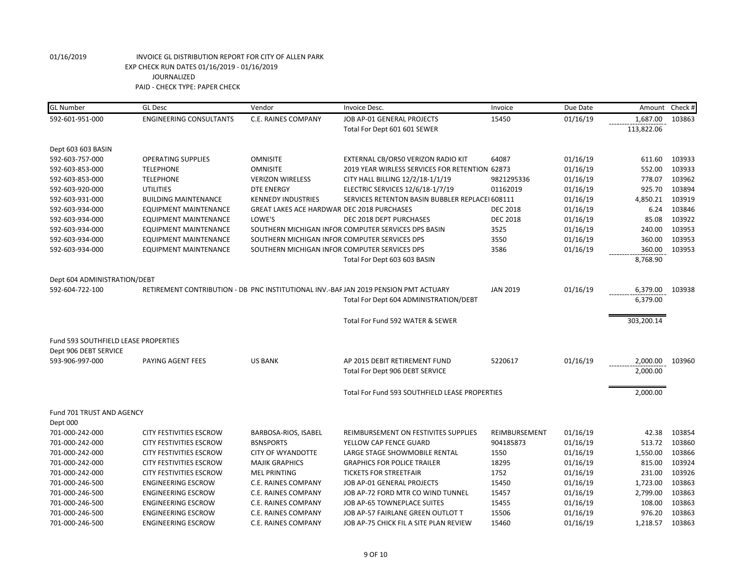| <b>GL Number</b>                     | <b>GL Desc</b>                 | Vendor                                        | Invoice Desc.                                                                        | Invoice         | Due Date | Amount     | Check # |
|--------------------------------------|--------------------------------|-----------------------------------------------|--------------------------------------------------------------------------------------|-----------------|----------|------------|---------|
| 592-601-951-000                      | <b>ENGINEERING CONSULTANTS</b> | C.E. RAINES COMPANY                           | JOB AP-01 GENERAL PROJECTS                                                           | 15450           | 01/16/19 | 1,687.00   | 103863  |
|                                      |                                |                                               | Total For Dept 601 601 SEWER                                                         |                 |          | 113,822.06 |         |
| Dept 603 603 BASIN                   |                                |                                               |                                                                                      |                 |          |            |         |
| 592-603-757-000                      | <b>OPERATING SUPPLIES</b>      | <b>OMNISITE</b>                               | EXTERNAL CB/OR50 VERIZON RADIO KIT                                                   | 64087           | 01/16/19 | 611.60     | 103933  |
| 592-603-853-000                      | <b>TELEPHONE</b>               | <b>OMNISITE</b>                               | 2019 YEAR WIRLESS SERVICES FOR RETENTION 62873                                       |                 | 01/16/19 | 552.00     | 103933  |
| 592-603-853-000                      | <b>TELEPHONE</b>               | <b>VERIZON WIRELESS</b>                       | CITY HALL BILLING 12/2/18-1/1/19                                                     | 9821295336      | 01/16/19 | 778.07     | 103962  |
| 592-603-920-000                      | <b>UTILITIES</b>               | <b>DTE ENERGY</b>                             | ELECTRIC SERVICES 12/6/18-1/7/19                                                     | 01162019        | 01/16/19 | 925.70     | 103894  |
| 592-603-931-000                      | <b>BUILDING MAINTENANCE</b>    | <b>KENNEDY INDUSTRIES</b>                     | SERVICES RETENTON BASIN BUBBLER REPLACEI 608111                                      |                 | 01/16/19 | 4,850.21   | 103919  |
| 592-603-934-000                      | <b>EQUIPMENT MAINTENANCE</b>   | GREAT LAKES ACE HARDWAR DEC 2018 PURCHASES    |                                                                                      | <b>DEC 2018</b> | 01/16/19 | 6.24       | 103846  |
| 592-603-934-000                      | <b>EQUIPMENT MAINTENANCE</b>   | LOWE'S                                        | DEC 2018 DEPT PURCHASES                                                              | <b>DEC 2018</b> | 01/16/19 | 85.08      | 103922  |
| 592-603-934-000                      | <b>EQUIPMENT MAINTENANCE</b>   |                                               | SOUTHERN MICHIGAN INFOR COMPUTER SERVICES DPS BASIN                                  | 3525            | 01/16/19 | 240.00     | 103953  |
| 592-603-934-000                      | <b>EQUIPMENT MAINTENANCE</b>   | SOUTHERN MICHIGAN INFOR COMPUTER SERVICES DPS |                                                                                      | 3550            | 01/16/19 | 360.00     | 103953  |
| 592-603-934-000                      | <b>EQUIPMENT MAINTENANCE</b>   | SOUTHERN MICHIGAN INFOR COMPUTER SERVICES DPS |                                                                                      | 3586            | 01/16/19 | 360.00     | 103953  |
|                                      |                                |                                               | Total For Dept 603 603 BASIN                                                         |                 |          | 8,768.90   |         |
| Dept 604 ADMINISTRATION/DEBT         |                                |                                               |                                                                                      |                 |          |            |         |
| 592-604-722-100                      |                                |                                               | RETIREMENT CONTRIBUTION - DB PNC INSTITUTIONAL INV.-BAF JAN 2019 PENSION PMT ACTUARY | <b>JAN 2019</b> | 01/16/19 | 6,379.00   | 103938  |
|                                      |                                |                                               | Total For Dept 604 ADMINISTRATION/DEBT                                               |                 |          | 6,379.00   |         |
|                                      |                                |                                               | Total For Fund 592 WATER & SEWER                                                     |                 |          | 303,200.14 |         |
| Fund 593 SOUTHFIELD LEASE PROPERTIES |                                |                                               |                                                                                      |                 |          |            |         |
| Dept 906 DEBT SERVICE                |                                |                                               |                                                                                      |                 |          |            |         |
| 593-906-997-000                      | PAYING AGENT FEES              | <b>US BANK</b>                                | AP 2015 DEBIT RETIREMENT FUND                                                        | 5220617         | 01/16/19 | 2,000.00   | 103960  |
|                                      |                                |                                               | Total For Dept 906 DEBT SERVICE                                                      |                 |          | 2,000.00   |         |
|                                      |                                |                                               | Total For Fund 593 SOUTHFIELD LEASE PROPERTIES                                       |                 |          | 2,000.00   |         |
| Fund 701 TRUST AND AGENCY            |                                |                                               |                                                                                      |                 |          |            |         |
| Dept 000                             |                                |                                               |                                                                                      |                 |          |            |         |
| 701-000-242-000                      | <b>CITY FESTIVITIES ESCROW</b> | BARBOSA-RIOS, ISABEL                          | REIMBURSEMENT ON FESTIVITES SUPPLIES                                                 | REIMBURSEMENT   | 01/16/19 | 42.38      | 103854  |
| 701-000-242-000                      | <b>CITY FESTIVITIES ESCROW</b> | <b>BSNSPORTS</b>                              | YELLOW CAP FENCE GUARD                                                               | 904185873       | 01/16/19 | 513.72     | 103860  |
| 701-000-242-000                      | <b>CITY FESTIVITIES ESCROW</b> | <b>CITY OF WYANDOTTE</b>                      | LARGE STAGE SHOWMOBILE RENTAL                                                        | 1550            | 01/16/19 | 1,550.00   | 103866  |
| 701-000-242-000                      | <b>CITY FESTIVITIES ESCROW</b> | <b>MAJIK GRAPHICS</b>                         | <b>GRAPHICS FOR POLICE TRAILER</b>                                                   | 18295           | 01/16/19 | 815.00     | 103924  |
| 701-000-242-000                      | <b>CITY FESTIVITIES ESCROW</b> | <b>MEL PRINTING</b>                           | <b>TICKETS FOR STREETFAIR</b>                                                        | 1752            | 01/16/19 | 231.00     | 103926  |
| 701-000-246-500                      | <b>ENGINEERING ESCROW</b>      | C.E. RAINES COMPANY                           | JOB AP-01 GENERAL PROJECTS                                                           | 15450           | 01/16/19 | 1,723.00   | 103863  |
| 701-000-246-500                      | <b>ENGINEERING ESCROW</b>      | C.E. RAINES COMPANY                           | JOB AP-72 FORD MTR CO WIND TUNNEL                                                    | 15457           | 01/16/19 | 2,799.00   | 103863  |
| 701-000-246-500                      | <b>ENGINEERING ESCROW</b>      | C.E. RAINES COMPANY                           | JOB AP-65 TOWNEPLACE SUITES                                                          | 15455           | 01/16/19 | 108.00     | 103863  |
| 701-000-246-500                      | <b>ENGINEERING ESCROW</b>      | C.E. RAINES COMPANY                           | JOB AP-57 FAIRLANE GREEN OUTLOT T                                                    | 15506           | 01/16/19 | 976.20     | 103863  |
| 701-000-246-500                      | <b>ENGINEERING ESCROW</b>      | C.E. RAINES COMPANY                           | JOB AP-75 CHICK FIL A SITE PLAN REVIEW                                               | 15460           | 01/16/19 | 1,218.57   | 103863  |